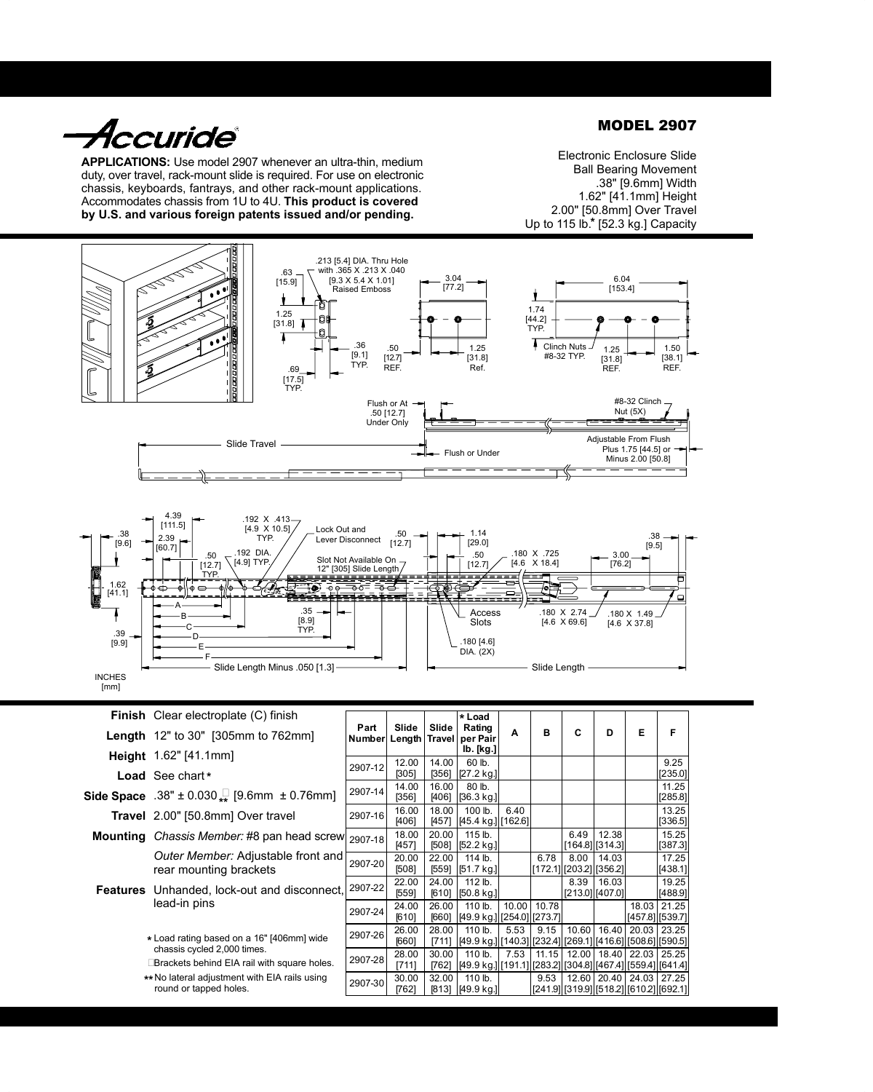*Accuride*®

**APPLICATIONS:** Use model 2907 whenever an ultra-thin, medium duty, over travel, rack-mount slide is required. For use on electronic chassis, keyboards, fantrays, and other rack-mount applications. Accommodates chassis from 1U to 4U. **This product is covered by U.S. and various foreign patents issued and/or pending.**

MODEL 2907

Electronic Enclosure Slide Ball Bearing Movement .38" [9.6mm] Width 1.62" [41.1mm] Height 2.00" [50.8mm] Over Travel Up to 115 lb.\* [52.3 kg.] Capacity





|                                           | Finish Clear electroplate (C) finish                                                |                |                 |                | * Load                                                               |      |               |                               |                              |                       |                                                   |
|-------------------------------------------|-------------------------------------------------------------------------------------|----------------|-----------------|----------------|----------------------------------------------------------------------|------|---------------|-------------------------------|------------------------------|-----------------------|---------------------------------------------------|
|                                           | <b>Length</b> 12" to 30" [305mm to 762mm]                                           | Part<br>Number | Slide<br>Length | Slide          | Rating<br>Travel per Pair                                            | A    | в             | C                             | D                            | Е                     | F                                                 |
|                                           | <b>Height</b> $1.62$ " [41.1mm]                                                     |                |                 |                | lb. [kg.]                                                            |      |               |                               |                              |                       |                                                   |
|                                           | Load See chart *                                                                    | 2907-12        | 12.00<br>[305]  | 14.00<br>[356] | 60 lb.<br>[27.2 kg]                                                  |      |               |                               |                              |                       | 9.25<br>[235.0]                                   |
|                                           | <b>Side Space</b> .38" $\pm$ 0.030 $\frac{\text{B}}{\text{A}}$ [9.6mm $\pm$ 0.76mm] | 2907-14        | 14.00<br>[356]  | 16.00<br>[406] | 80 lb.<br>[36.3 kg]                                                  |      |               |                               |                              |                       | 11.25<br>[285.8]                                  |
|                                           | <b>Travel</b> 2.00" [50.8mm] Over travel                                            | 2907-16        | 16.00<br>[406]  | 18.00<br>[457] | 100 lb.<br>[45.4 kg] [162.6]                                         | 6.40 |               |                               |                              |                       | 13.25<br>[336.5]                                  |
|                                           | <b>Mounting</b> Chassis Member: #8 pan head screw                                   | 2907-18        | 18.00<br>[457]  | 20.00<br>[508] | 115 lb.<br>[52.2 kg]                                                 |      |               | 6.49                          | 12.38<br>$[164.8]$ [314.3]   |                       | 15.25<br>[387.3]                                  |
|                                           | Outer Member: Adjustable front and<br>rear mounting brackets                        | 2907-20        | 20.00<br>[508]  | 22.00<br>[559] | $114$ lb.<br>[51.7 kg]                                               |      | 6.78          | 8.00<br>[172.1][203.2][356.2] | 14.03                        |                       | 17.25<br>[438.1]                                  |
|                                           | <b>Features</b> Unhanded, lock-out and disconnect,<br>lead-in pins                  | 2907-22        | 22.00<br>[559]  | 24.00          | 112 lb.<br>[610] [50.8 kg.]                                          |      |               | 8.39                          | 16.03<br>$[213.0]$ $[407.0]$ |                       | 19.25<br>[488.9]                                  |
|                                           |                                                                                     | 2907-24        | 24.00<br>[610]  | 26.00<br>[660] | 110 lb.<br>[49.9 kg] [254.0] [273.7]                                 |      | 10.00   10.78 |                               |                              | 18.03                 | 21.25<br>[457.8] [539.7]                          |
| * Load rating based on a 16" [406mm] wide |                                                                                     | 2907-26        | 26.00<br>[660]  | 28.00<br>[711] | 110 lb.<br>[49.9 kg] [140.3] [232.4] [269.1] [416.6] [508.6] [590.5] | 5.53 | 9.15          | 10.60                         | 16.40                        | 20.03                 | 23.25                                             |
|                                           | chassis cycled 2,000 times.<br>¤Brackets behind EIA rail with square holes.         | 2907-28        | 28.00<br>[711]  | 30.00<br>[762] | 110 lb.<br>[49.9 kg]][191.1][[283.2][[304.8]][467.4][[559.4]][641.4] | 7.53 | 11.15         | 12.00                         |                              | 18.40 22.03           | 25.25                                             |
|                                           | ** No lateral adjustment with EIA rails using<br>round or tapped holes.             | 2907-30        | 30.00<br>[762]  | 32.00          | 110 lb.<br>[813] [49.9 kg.]                                          |      | 9.53          |                               |                              | 12.60   20.40   24.03 | 27.25<br> [241.9] [319.9] [518.2] [610.2] [692.1] |